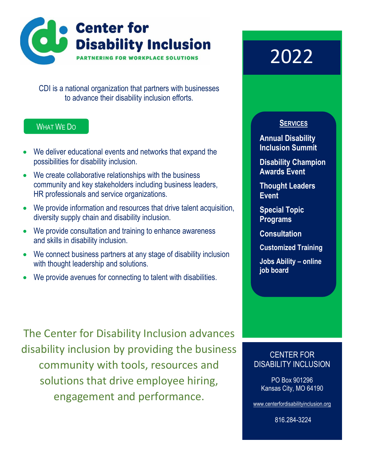

CDI is a national organization that partners with businesses to advance their disability inclusion efforts.

## WHAT WE DO

- We deliver educational events and networks that expand the possibilities for disability inclusion.
- We create collaborative relationships with the business community and key stakeholders including business leaders, HR professionals and service organizations.
- We provide information and resources that drive talent acquisition, diversity supply chain and disability inclusion.
- We provide consultation and training to enhance awareness and skills in disability inclusion.
- We connect business partners at any stage of disability inclusion with thought leadership and solutions.
- We provide avenues for connecting to talent with disabilities.

The Center for Disability Inclusion advances disability inclusion by providing the business community with tools, resources and solutions that drive employee hiring, engagement and performance.

# 2022

## **SERVICES**

**Annual Disability Inclusion Summit**

**Disability Champion Awards Event**

**Thought Leaders Event**

**Special Topic Programs**

**Consultation**

**Customized Training**

**Jobs Ability – online job board**

## CENTER FOR DISABILITY INCLUSION

PO Box 901296 Kansas City, MO 64190

[www.centerfordisabilityinclusion.org](http://www.centerfordisabilityinclusion.org/)

816.284-3224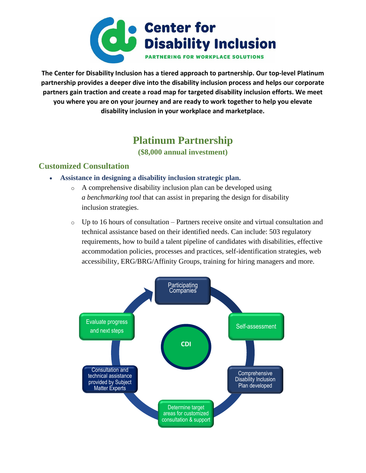

**The Center for Disability Inclusion has a tiered approach to partnership. Our top-level Platinum partnership provides a deeper dive into the disability inclusion process and helps our corporate partners gain traction and create a road map for targeted disability inclusion efforts. We meet you where you are on your journey and are ready to work together to help you elevate disability inclusion in your workplace and marketplace.**

## **Platinum Partnership**

**(\$8,000 annual investment)**

### **Customized Consultation**

- **Assistance in designing a disability inclusion strategic plan.**
	- o A comprehensive disability inclusion plan can be developed using *a benchmarking tool* that can assist in preparing the design for disability inclusion strategies.
	- o Up to 16 hours of consultation Partners receive onsite and virtual consultation and technical assistance based on their identified needs. Can include: 503 regulatory requirements, how to build a talent pipeline of candidates with disabilities, effective accommodation policies, processes and practices, self-identification strategies, web accessibility, ERG/BRG/Affinity Groups, training for hiring managers and more.

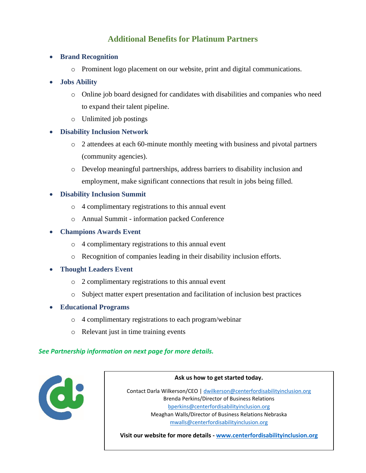## **Additional Benefits for Platinum Partners**

- **Brand Recognition**
	- o Prominent logo placement on our website, print and digital communications.
- **Jobs Ability** 
	- o Online job board designed for candidates with disabilities and companies who need to expand their talent pipeline.
	- o Unlimited job postings
- **Disability Inclusion Network**
	- o 2 attendees at each 60-minute monthly meeting with business and pivotal partners (community agencies).
	- o Develop meaningful partnerships, address barriers to disability inclusion and employment, make significant connections that result in jobs being filled.

#### • **Disability Inclusion Summit**

- o 4 complimentary registrations to this annual event
- o Annual Summit information packed Conference

#### • **Champions Awards Event**

- o 4 complimentary registrations to this annual event
- o Recognition of companies leading in their disability inclusion efforts.
- **Thought Leaders Event**
	- o 2 complimentary registrations to this annual event
	- o Subject matter expert presentation and facilitation of inclusion best practices
- **Educational Programs**
	- o 4 complimentary registrations to each program/webinar
	- o Relevant just in time training events

#### *See Partnership information on next page for more details.*



#### **Ask us how to get started today.**

Contact Darla Wilkerson/CEO [| dwilkerson@centerfordisabilityinclusion.org](mailto:dwilkerson@centerfordisabilityinclusion.org) Brenda Perkins/Director of Business Relations [bperkins@centerfordisabilityinclusion.org](mailto:bperkins@centerfordisabilityinclusion.org) Meaghan Walls/Director of Business Relations Nebraska [mwalls@centerfordisabilityinclusion.org](mailto:mwalls@centerfordisabilityinclusion.org) 

**Visit our website for more details - [www.centerfordisabilityinclusion.org](http://www.centerfordisabilityinclusion.org/)**